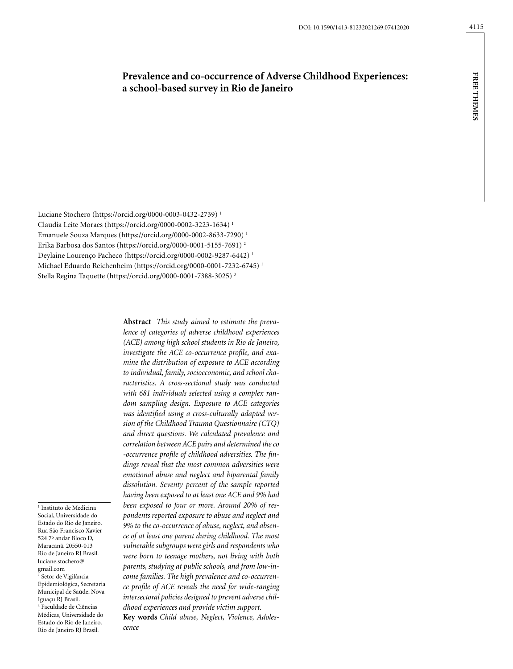# **Prevalence and co-occurrence of Adverse Childhood Experiences: a school-based survey in Rio de Janeiro**

Luciane Stochero (https://orcid.org/0000-0003-0432-2739) 1 Claudia Leite Moraes (https://orcid.org/0000-0002-3223-1634) 1 Emanuele Souza Marques (https://orcid.org/0000-0002-8633-7290) 1 Erika Barbosa dos Santos (https://orcid.org/0000-0001-5155-7691) 2 Deylaine Lourenço Pacheco (https://orcid.org/0000-0002-9287-6442) 1 Michael Eduardo Reichenheim (https://orcid.org/0000-0001-7232-6745) 1 Stella Regina Taquette (https://orcid.org/0000-0001-7388-3025) 3

1 Instituto de Medicina Social, Universidade do Estado do Rio de Janeiro. Rua São Francisco Xavier 524 7º andar Bloco D, Maracanã. 20550-013 Rio de Janeiro RJ Brasil. luciane.stochero@ gmail.com 2 Setor de Vigilância Epidemiológica, Secretaria Municipal de Saúde. Nova Iguaçu RJ Brasil. 3 Faculdade de Ciências Médicas, Universidade do Estado do Rio de Janeiro. Rio de Janeiro RJ Brasil.

**Abstract** *This study aimed to estimate the prevalence of categories of adverse childhood experiences (ACE) among high school students in Rio de Janeiro, investigate the ACE co-occurrence profile, and examine the distribution of exposure to ACE according to individual, family, socioeconomic, and school characteristics. A cross-sectional study was conducted with 681 individuals selected using a complex random sampling design. Exposure to ACE categories was identified using a cross-culturally adapted version of the Childhood Trauma Questionnaire (CTQ) and direct questions. We calculated prevalence and correlation between ACE pairs and determined the co -occurrence profile of childhood adversities. The findings reveal that the most common adversities were emotional abuse and neglect and biparental family dissolution. Seventy percent of the sample reported having been exposed to at least one ACE and 9% had been exposed to four or more. Around 20% of respondents reported exposure to abuse and neglect and 9% to the co-occurrence of abuse, neglect, and absence of at least one parent during childhood. The most vulnerable subgroups were girls and respondents who were born to teenage mothers, not living with both parents, studying at public schools, and from low-income families. The high prevalence and co-occurrence profile of ACE reveals the need for wide-ranging intersectoral policies designed to prevent adverse childhood experiences and provide victim support.*

**Key words** *Child abuse, Neglect, Violence, Adolescence*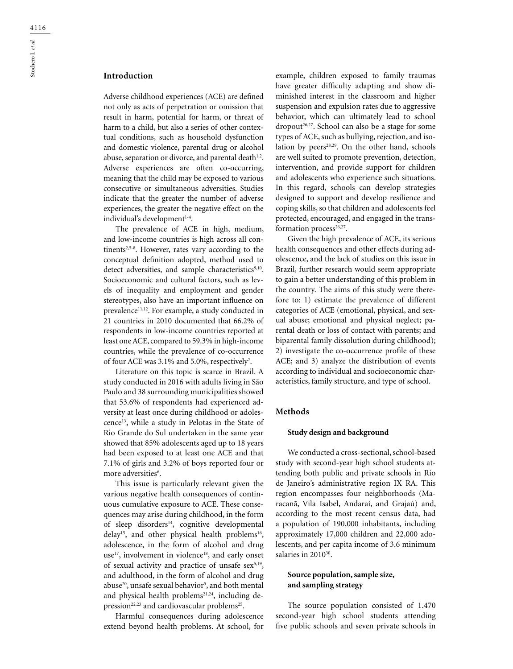# **Introduction**

Adverse childhood experiences (ACE) are defined not only as acts of perpetration or omission that result in harm, potential for harm, or threat of harm to a child, but also a series of other contextual conditions, such as household dysfunction and domestic violence, parental drug or alcohol abuse, separation or divorce, and parental death $1,2$ . Adverse experiences are often co-occurring, meaning that the child may be exposed to various consecutive or simultaneous adversities. Studies indicate that the greater the number of adverse experiences, the greater the negative effect on the individual's development<sup>1-4</sup>.

The prevalence of ACE in high, medium, and low-income countries is high across all continents $2,5-8$ . However, rates vary according to the conceptual definition adopted, method used to detect adversities, and sample characteristics9,10. Socioeconomic and cultural factors, such as levels of inequality and employment and gender stereotypes, also have an important influence on prevalence<sup>11,12</sup>. For example, a study conducted in 21 countries in 2010 documented that 66.2% of respondents in low-income countries reported at least one ACE, compared to 59.3% in high-income countries, while the prevalence of co-occurrence of four ACE was  $3.1\%$  and  $5.0\%$ , respectively<sup>2</sup>.

Literature on this topic is scarce in Brazil. A study conducted in 2016 with adults living in São Paulo and 38 surrounding municipalities showed that 53.6% of respondents had experienced adversity at least once during childhood or adolescence13, while a study in Pelotas in the State of Rio Grande do Sul undertaken in the same year showed that 85% adolescents aged up to 18 years had been exposed to at least one ACE and that 7.1% of girls and 3.2% of boys reported four or more adversities<sup>6</sup>.

This issue is particularly relevant given the various negative health consequences of continuous cumulative exposure to ACE. These consequences may arise during childhood, in the form of sleep disorders<sup>14</sup>, cognitive developmental delay<sup>15</sup>, and other physical health problems<sup>16</sup>, adolescence, in the form of alcohol and drug use<sup>17</sup>, involvement in violence<sup>18</sup>, and early onset of sexual activity and practice of unsafe sex<sup>5,19</sup>, and adulthood, in the form of alcohol and drug abuse<sup>20</sup>, unsafe sexual behavior<sup>5</sup>, and both mental and physical health problems $21,24$ , including depression<sup>22,23</sup> and cardiovascular problems<sup>25</sup>.

Harmful consequences during adolescence extend beyond health problems. At school, for

example, children exposed to family traumas have greater difficulty adapting and show diminished interest in the classroom and higher suspension and expulsion rates due to aggressive behavior, which can ultimately lead to school  $\text{dropout}^{26,27}$ . School can also be a stage for some types of ACE, such as bullying, rejection, and isolation by peers<sup>28,29</sup>. On the other hand, schools are well suited to promote prevention, detection, intervention, and provide support for children and adolescents who experience such situations. In this regard, schools can develop strategies designed to support and develop resilience and coping skills, so that children and adolescents feel protected, encouraged, and engaged in the transformation process<sup>26,27</sup>.

Given the high prevalence of ACE, its serious health consequences and other effects during adolescence, and the lack of studies on this issue in Brazil, further research would seem appropriate to gain a better understanding of this problem in the country. The aims of this study were therefore to: 1) estimate the prevalence of different categories of ACE (emotional, physical, and sexual abuse; emotional and physical neglect; parental death or loss of contact with parents; and biparental family dissolution during childhood); 2) investigate the co-occurrence profile of these ACE; and 3) analyze the distribution of events according to individual and socioeconomic characteristics, family structure, and type of school.

#### **Methods**

#### **Study design and background**

We conducted a cross-sectional, school-based study with second-year high school students attending both public and private schools in Rio de Janeiro's administrative region IX RA. This region encompasses four neighborhoods (Maracanã, Vila Isabel, Andaraí, and Grajaú) and, according to the most recent census data, had a population of 190,000 inhabitants, including approximately 17,000 children and 22,000 adolescents, and per capita income of 3.6 minimum salaries in 2010<sup>30</sup>.

### **Source population, sample size, and sampling strategy**

The source population consisted of 1.470 second-year high school students attending five public schools and seven private schools in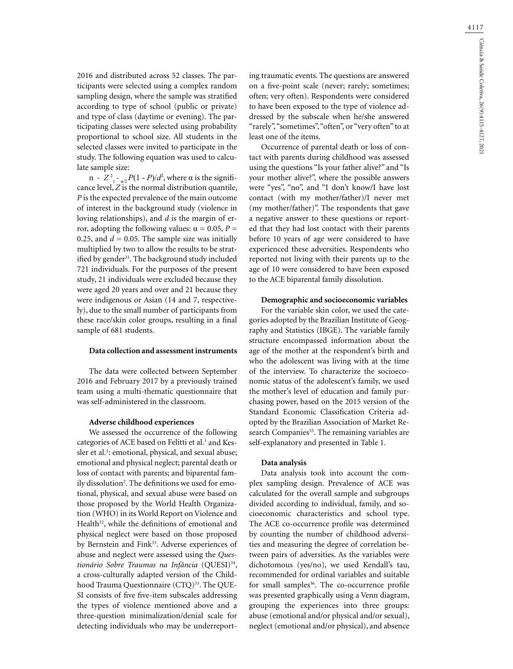2016 and distributed across 52 classes. The participants were selected using a complex random sampling design, where the sample was stratified according to type of school (public or private) and type of class (daytime or evening). The participating classes were selected using probability proportional to school size. All students in the selected classes were invited to participate in the study. The following equation was used to calculate sample size:

n -  $Z^2$ <sub>1</sub> - <sub>ω2</sub>  $P(1 - P)/d^2$ , where α is the significance level, *Z* is the normal distribution quantile, *P* is the expected prevalence of the main outcome of interest in the background study (violence in loving relationships), and *d* is the margin of error, adopting the following values:  $α = 0.05, P =$ 0.25, and  $d = 0.05$ . The sample size was initially multiplied by two to allow the results to be stratified by gender<sup>31</sup>. The background study included 721 individuals. For the purposes of the present study, 21 individuals were excluded because they were aged 20 years and over and 21 because they were indigenous or Asian (14 and 7, respectively), due to the small number of participants from these race/skin color groups, resulting in a final sample of 681 students.

### **Data collection and assessment instruments**

The data were collected between September 2016 and February 2017 by a previously trained team using a multi-thematic questionnaire that was self-administered in the classroom.

#### **Adverse childhood experiences**

We assessed the occurrence of the following categories of ACE based on Felitti et al.<sup>1</sup> and Kessler et al.<sup>2</sup>: emotional, physical, and sexual abuse; emotional and physical neglect; parental death or loss of contact with parents; and biparental family dissolution<sup>2</sup>. The definitions we used for emotional, physical, and sexual abuse were based on those proposed by the World Health Organization (WHO) in its World Report on Violence and Health $32$ , while the definitions of emotional and physical neglect were based on those proposed by Bernstein and Fink<sup>33</sup>. Adverse experiences of abuse and neglect were assessed using the *Questionário Sobre Traumas na Infância* (QUESI)34, a cross-culturally adapted version of the Childhood Trauma Questionnaire (CTQ)<sup>33</sup>. The QUE-SI consists of five five-item subscales addressing the types of violence mentioned above and a three-question minimalization/denial scale for detecting individuals who may be underreport-

ing traumatic events. The questions are answered on a five-point scale (never; rarely; sometimes; often; very often). Respondents were considered to have been exposed to the type of violence addressed by the subscale when he/she answered "rarely", "sometimes", "often", or "very often" to at least one of the items.

Occurrence of parental death or loss of contact with parents during childhood was assessed using the questions "Is your father alive?" and "Is your mother alive?", where the possible answers were "yes", "no", and "I don't know/I have lost contact (with my mother/father)/I never met (my mother/father)". The respondents that gave a negative answer to these questions or reported that they had lost contact with their parents before 10 years of age were considered to have experienced these adversities. Respondents who reported not living with their parents up to the age of 10 were considered to have been exposed to the ACE biparental family dissolution.

#### **Demographic and socioeconomic variables**

For the variable skin color, we used the categories adopted by the Brazilian Institute of Geography and Statistics (IBGE). The variable family structure encompassed information about the age of the mother at the respondent's birth and who the adolescent was living with at the time of the interview. To characterize the socioeconomic status of the adolescent's family, we used the mother's level of education and family purchasing power, based on the 2015 version of the Standard Economic Classification Criteria adopted by the Brazilian Association of Market Research Companies<sup>35</sup>. The remaining variables are self-explanatory and presented in Table 1.

#### **Data analysis**

Data analysis took into account the complex sampling design. Prevalence of ACE was calculated for the overall sample and subgroups divided according to individual, family, and socioeconomic characteristics and school type. The ACE co-occurrence profile was determined by counting the number of childhood adversities and measuring the degree of correlation between pairs of adversities. As the variables were dichotomous (yes/no), we used Kendall's tau, recommended for ordinal variables and suitable for small samples<sup>36</sup>. The co-occurrence profile was presented graphically using a Venn diagram, grouping the experiences into three groups: abuse (emotional and/or physical and/or sexual), neglect (emotional and/or physical), and absence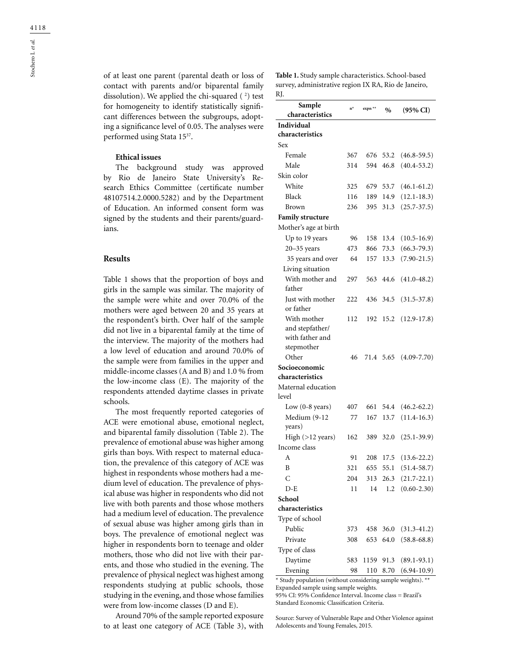of at least one parent (parental death or loss of contact with parents and/or biparental family dissolution). We applied the chi-squared  $(2)$  test for homogeneity to identify statistically significant differences between the subgroups, adopting a significance level of 0.05. The analyses were performed using Stata 1537.

### **Ethical issues**

The background study was approved by Rio de Janeiro State University's Research Ethics Committee (certificate number 48107514.2.0000.5282) and by the Department of Education. An informed consent form was signed by the students and their parents/guardians.

#### **Results**

Table 1 shows that the proportion of boys and girls in the sample was similar. The majority of the sample were white and over 70.0% of the mothers were aged between 20 and 35 years at the respondent's birth. Over half of the sample did not live in a biparental family at the time of the interview. The majority of the mothers had a low level of education and around 70.0% of the sample were from families in the upper and middle-income classes (A and B) and 1.0 % from the low-income class (E). The majority of the respondents attended daytime classes in private schools.

The most frequently reported categories of ACE were emotional abuse, emotional neglect, and biparental family dissolution (Table 2). The prevalence of emotional abuse was higher among girls than boys. With respect to maternal education, the prevalence of this category of ACE was highest in respondents whose mothers had a medium level of education. The prevalence of physical abuse was higher in respondents who did not live with both parents and those whose mothers had a medium level of education. The prevalence of sexual abuse was higher among girls than in boys. The prevalence of emotional neglect was higher in respondents born to teenage and older mothers, those who did not live with their parents, and those who studied in the evening. The prevalence of physical neglect was highest among respondents studying at public schools, those studying in the evening, and those whose families were from low-income classes (D and E).

Around 70% of the sample reported exposure to at least one category of ACE (Table 3), with

**Table 1.** Study sample characteristics. School-based survey, administrative region IX RA, Rio de Janeiro, RJ.

| Sample<br>characteristics     | $n^*$ | expn ** | $\%$      | (95% CI)        |
|-------------------------------|-------|---------|-----------|-----------------|
|                               |       |         |           |                 |
| Individual<br>characteristics |       |         |           |                 |
| Sex                           |       |         |           |                 |
| Female                        | 367   | 676     | 53.2      |                 |
|                               |       |         |           | $(46.8 - 59.5)$ |
| Male                          | 314   | 594     | 46.8      | $(40.4 - 53.2)$ |
| Skin color                    |       |         |           |                 |
| White                         | 325   | 679     | 53.7      | $(46.1 - 61.2)$ |
| Black                         | 116   | 189     | 14.9      | $(12.1 - 18.3)$ |
| Brown                         | 236   | 395     | 31.3      | $(25.7 - 37.5)$ |
| <b>Family structure</b>       |       |         |           |                 |
| Mother's age at birth         |       |         |           |                 |
| Up to 19 years                | 96    | 158     | 13.4      | $(10.5 - 16.9)$ |
| $20 - 35$ years               | 473   | 866     | 73.3      | $(66.3 - 79.3)$ |
| 35 years and over             | 64    | 157     | 13.3      | $(7.90 - 21.5)$ |
| Living situation              |       |         |           |                 |
| With mother and               | 297   | 563     | 44.6      | $(41.0 - 48.2)$ |
| father                        |       |         |           |                 |
| Just with mother              | 222   | 436     | 34.5      | $(31.5 - 37.8)$ |
| or father                     |       |         |           |                 |
| With mother                   | 112   | 192     | 15.2      | $(12.9 - 17.8)$ |
| and stepfather/               |       |         |           |                 |
| with father and               |       |         |           |                 |
| stepmother                    |       |         |           |                 |
| Other                         | 46    |         | 71.4 5.65 | $(4.09 - 7.70)$ |
| Socioeconomic                 |       |         |           |                 |
| characteristics               |       |         |           |                 |
| Maternal education<br>level   |       |         |           |                 |
|                               |       |         |           |                 |
| Low $(0-8$ years)             | 407   | 661     | 54.4      | $(46.2 - 62.2)$ |
| Medium (9-12                  | 77    | 167     | 13.7      | $(11.4 - 16.3)$ |
| years)                        |       |         |           |                 |
| High $(>12$ years)            | 162   | 389     | 32.0      | $(25.1 - 39.9)$ |
| Income class                  |       |         |           |                 |
| А                             | 91    | 208     | 17.5      | $(13.6 - 22.2)$ |
| B                             | 321   | 655     | 55.1      | $(51.4 - 58.7)$ |
| $\overline{C}$                | 204   | 313     | 26.3      | $(21.7 - 22.1)$ |
| $D - E$                       | 11    | 14      | 1.2       | $(0.60 - 2.30)$ |
| School                        |       |         |           |                 |
| characteristics               |       |         |           |                 |
| Type of school                |       |         |           |                 |
| Public                        | 373   | 458     | 36.0      | $(31.3 - 41.2)$ |
| Private                       | 308   | 653     | 64.0      | $(58.8 - 68.8)$ |
| Type of class                 |       |         |           |                 |
| Daytime                       | 583   | 1159    | 91.3      | $(89.1 - 93.1)$ |
| Evening                       | 98    | 110     | 8.70      | $(6.94 - 10.9)$ |

\* Study population (without considering sample weights). \*\* Expanded sample using sample weights.

95% CI: 95% Confidence Interval. Income class = Brazil's Standard Economic Classification Criteria.

Source: Survey of Vulnerable Rape and Other Violence against Adolescents and Young Females, 2015.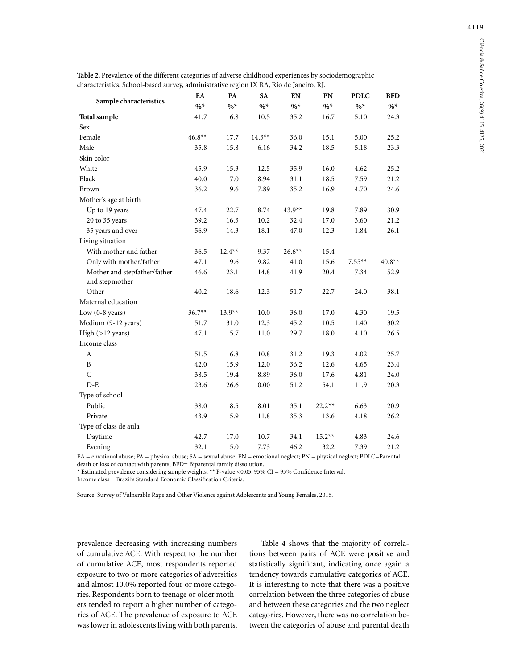|                              | EA       | PA       | <b>SA</b> | EN       | PN       | <b>PDLC</b> | <b>BFD</b> |
|------------------------------|----------|----------|-----------|----------|----------|-------------|------------|
| Sample characteristics       | $\%*$    | $\%*$    | $\%*$     | $\%*$    | $\%*$    | $\%*$       | $\%*$      |
| <b>Total sample</b>          | 41.7     | 16.8     | $10.5\,$  | 35.2     | 16.7     | 5.10        | 24.3       |
| Sex                          |          |          |           |          |          |             |            |
| Female                       | $46.8**$ | 17.7     | $14.3**$  | 36.0     | 15.1     | 5.00        | 25.2       |
| Male                         | 35.8     | 15.8     | 6.16      | 34.2     | 18.5     | 5.18        | 23.3       |
| Skin color                   |          |          |           |          |          |             |            |
| White                        | 45.9     | 15.3     | 12.5      | 35.9     | 16.0     | 4.62        | 25.2       |
| Black                        | 40.0     | 17.0     | 8.94      | 31.1     | 18.5     | 7.59        | 21.2       |
| Brown                        | 36.2     | 19.6     | 7.89      | 35.2     | 16.9     | 4.70        | 24.6       |
| Mother's age at birth        |          |          |           |          |          |             |            |
| Up to 19 years               | 47.4     | 22.7     | 8.74      | $43.9**$ | 19.8     | 7.89        | 30.9       |
| 20 to 35 years               | 39.2     | 16.3     | 10.2      | 32.4     | 17.0     | 3.60        | 21.2       |
| 35 years and over            | 56.9     | 14.3     | 18.1      | 47.0     | 12.3     | 1.84        | 26.1       |
| Living situation             |          |          |           |          |          |             |            |
| With mother and father       | 36.5     | $12.4**$ | 9.37      | $26.6**$ | 15.4     |             |            |
| Only with mother/father      | 47.1     | 19.6     | 9.82      | 41.0     | 15.6     | $7.55***$   | $40.8**$   |
| Mother and stepfather/father | 46.6     | 23.1     | 14.8      | 41.9     | 20.4     | 7.34        | 52.9       |
| and stepmother               |          |          |           |          |          |             |            |
| Other                        | 40.2     | 18.6     | 12.3      | 51.7     | 22.7     | 24.0        | 38.1       |
| Maternal education           |          |          |           |          |          |             |            |
| Low $(0-8$ years)            | $36.7**$ | $13.9**$ | 10.0      | 36.0     | 17.0     | 4.30        | 19.5       |
| Medium (9-12 years)          | 51.7     | 31.0     | 12.3      | 45.2     | 10.5     | 1.40        | 30.2       |
| High $(>12$ years)           | 47.1     | 15.7     | 11.0      | 29.7     | 18.0     | 4.10        | 26.5       |
| Income class                 |          |          |           |          |          |             |            |
| $\mathbf{A}$                 | 51.5     | 16.8     | 10.8      | 31.2     | 19.3     | 4.02        | 25.7       |
| B                            | 42.0     | 15.9     | 12.0      | 36.2     | 12.6     | 4.65        | 23.4       |
| $\mathsf{C}$                 | 38.5     | 19.4     | 8.89      | 36.0     | 17.6     | 4.81        | 24.0       |
| $D-E$                        | 23.6     | 26.6     | 0.00      | 51.2     | 54.1     | 11.9        | 20.3       |
| Type of school               |          |          |           |          |          |             |            |
| Public                       | 38.0     | 18.5     | 8.01      | 35.1     | $22.2**$ | 6.63        | 20.9       |
| Private                      | 43.9     | 15.9     | 11.8      | 35.3     | 13.6     | 4.18        | 26.2       |
| Type of class de aula        |          |          |           |          |          |             |            |
| Daytime                      | 42.7     | 17.0     | 10.7      | 34.1     | $15.2**$ | 4.83        | 24.6       |
| Evening                      | 32.1     | 15.0     | 7.73      | 46.2     | 32.2     | 7.39        | 21.2       |

**Table 2.** Prevalence of the different categories of adverse childhood experiences by sociodemographic

EA = emotional abuse; PA = physical abuse; SA = sexual abuse; EN = emotional neglect; PN = physical neglect; PDLC=Parental

death or loss of contact with parents; BFD= Biparental family dissolution.

\* Estimated prevalence considering sample weights. \*\* P-value <0.05. 95% CI = 95% Confidence Interval. Income class = Brazil's Standard Economic Classification Criteria.

Source: Survey of Vulnerable Rape and Other Violence against Adolescents and Young Females, 2015.

prevalence decreasing with increasing numbers of cumulative ACE. With respect to the number of cumulative ACE, most respondents reported exposure to two or more categories of adversities and almost 10.0% reported four or more categories. Respondents born to teenage or older mothers tended to report a higher number of categories of ACE. The prevalence of exposure to ACE was lower in adolescents living with both parents.

Table 4 shows that the majority of correlations between pairs of ACE were positive and statistically significant, indicating once again a tendency towards cumulative categories of ACE. It is interesting to note that there was a positive correlation between the three categories of abuse and between these categories and the two neglect categories. However, there was no correlation between the categories of abuse and parental death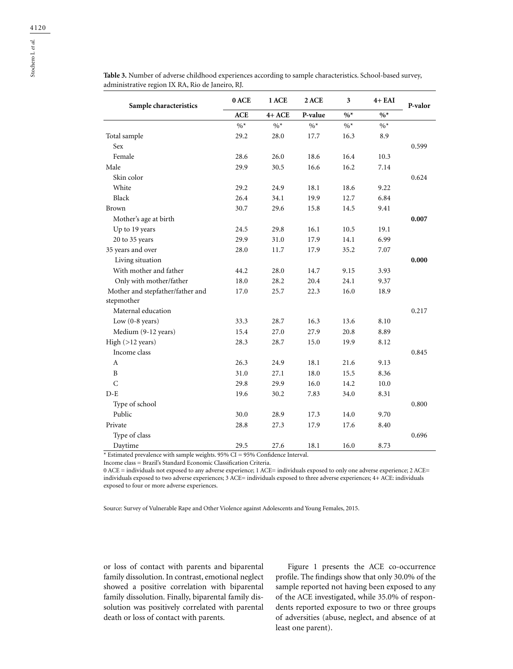| Sample characteristics           | 0 ACE      | 1 ACE   | 2 ACE   | 3     | $4+EAI$ | P-valor |
|----------------------------------|------------|---------|---------|-------|---------|---------|
|                                  | <b>ACE</b> | $4+ACE$ | P-value | $\%*$ | $\%*$   |         |
|                                  | $\%*$      | $\%*$   | $\%*$   | $\%*$ | $\%*$   |         |
| Total sample                     | 29.2       | 28.0    | 17.7    | 16.3  | 8.9     |         |
| Sex                              |            |         |         |       |         | 0.599   |
| Female                           | 28.6       | 26.0    | 18.6    | 16.4  | 10.3    |         |
| Male                             | 29.9       | 30.5    | 16.6    | 16.2  | 7.14    |         |
| Skin color                       |            |         |         |       |         | 0.624   |
| White                            | 29.2       | 24.9    | 18.1    | 18.6  | 9.22    |         |
| Black                            | 26.4       | 34.1    | 19.9    | 12.7  | 6.84    |         |
| Brown                            | 30.7       | 29.6    | 15.8    | 14.5  | 9.41    |         |
| Mother's age at birth            |            |         |         |       |         | 0.007   |
| Up to 19 years                   | 24.5       | 29.8    | 16.1    | 10.5  | 19.1    |         |
| 20 to 35 years                   | 29.9       | 31.0    | 17.9    | 14.1  | 6.99    |         |
| 35 years and over                | 28.0       | 11.7    | 17.9    | 35.2  | 7.07    |         |
| Living situation                 |            |         |         |       |         | 0.000   |
| With mother and father           | 44.2       | 28.0    | 14.7    | 9.15  | 3.93    |         |
| Only with mother/father          | 18.0       | 28.2    | 20.4    | 24.1  | 9.37    |         |
| Mother and stepfather/father and | 17.0       | 25.7    | 22.3    | 16.0  | 18.9    |         |
| stepmother                       |            |         |         |       |         |         |
| Maternal education               |            |         |         |       |         | 0.217   |
| Low $(0-8$ years)                | 33.3       | 28.7    | 16.3    | 13.6  | 8.10    |         |
| Medium (9-12 years)              | 15.4       | 27.0    | 27.9    | 20.8  | 8.89    |         |
| High (>12 years)                 | 28.3       | 28.7    | 15.0    | 19.9  | 8.12    |         |
| Income class                     |            |         |         |       |         | 0.845   |
| A                                | 26.3       | 24.9    | 18.1    | 21.6  | 9.13    |         |
| B                                | 31.0       | 27.1    | 18.0    | 15.5  | 8.36    |         |
| $\mathsf{C}$                     | 29.8       | 29.9    | 16.0    | 14.2  | 10.0    |         |
| $D-E$                            | 19.6       | 30.2    | 7.83    | 34.0  | 8.31    |         |
| Type of school                   |            |         |         |       |         | 0.800   |
| Public                           | 30.0       | 28.9    | 17.3    | 14.0  | 9.70    |         |
| Private                          | 28.8       | 27.3    | 17.9    | 17.6  | 8.40    |         |
| Type of class                    |            |         |         |       |         | 0.696   |
| Daytime                          | 29.5       | 27.6    | 18.1    | 16.0  | 8.73    |         |

**Table 3.** Number of adverse childhood experiences according to sample characteristics. School-based survey, administrative region IX RA, Rio de Janeiro, RJ.

\* Estimated prevalence with sample weights. 95% CI = 95% Confidence Interval.

Income class = Brazil's Standard Economic Classification Criteria.

0 ACE = individuals not exposed to any adverse experience; 1 ACE= individuals exposed to only one adverse experience; 2 ACE= individuals exposed to two adverse experiences; 3 ACE= individuals exposed to three adverse experiences; 4+ ACE: individuals exposed to four or more adverse experiences.

Source: Survey of Vulnerable Rape and Other Violence against Adolescents and Young Females, 2015.

or loss of contact with parents and biparental family dissolution. In contrast, emotional neglect showed a positive correlation with biparental family dissolution. Finally, biparental family dissolution was positively correlated with parental death or loss of contact with parents.

Figure 1 presents the ACE co-occurrence profile. The findings show that only 30.0% of the sample reported not having been exposed to any of the ACE investigated, while 35.0% of respondents reported exposure to two or three groups of adversities (abuse, neglect, and absence of at least one parent).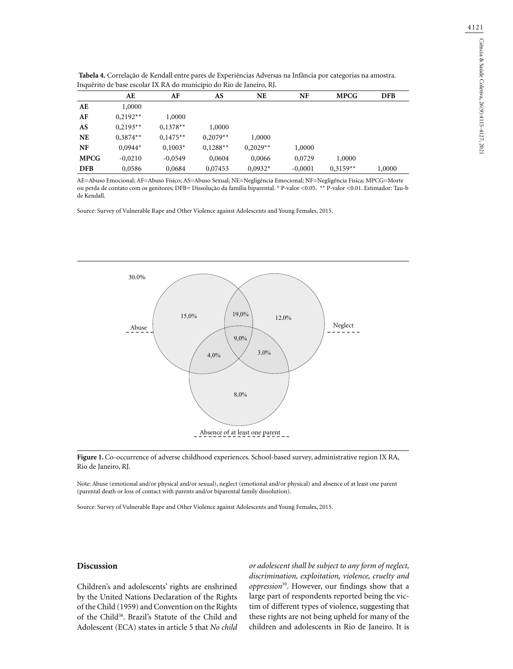| Inquerito de base escolar IX RA do município do Rio de Janeiro, RJ. |            |            |            |            |           |             |            |  |  |
|---------------------------------------------------------------------|------------|------------|------------|------------|-----------|-------------|------------|--|--|
|                                                                     | AE         | AF         | AS         | <b>NE</b>  | NF        | <b>MPCG</b> | <b>DFB</b> |  |  |
| AE                                                                  | 1,0000     |            |            |            |           |             |            |  |  |
| AF                                                                  | $0.2192**$ | 1,0000     |            |            |           |             |            |  |  |
| AS                                                                  | $0.2193**$ | $0,1378**$ | 1,0000     |            |           |             |            |  |  |
| <b>NE</b>                                                           | $0.3874**$ | $0.1475**$ | $0,2079**$ | 1,0000     |           |             |            |  |  |
| NF                                                                  | $0.0944*$  | $0.1003*$  | $0,1288**$ | $0,2029**$ | 1,0000    |             |            |  |  |
| <b>MPCG</b>                                                         | $-0,0210$  | $-0,0549$  | 0,0604     | 0,0066     | 0,0729    | 1,0000      |            |  |  |
| <b>DFB</b>                                                          | 0,0586     | 0,0684     | 0,07453    | $0,0932*$  | $-0,0001$ | $0,3159**$  | 1,0000     |  |  |

**Tabela 4.** Correlação de Kendall entre pares de Experiências Adversas na Infância por categorias na amostra. .<br>Dicípio de Bio de Janeiro, RJ.

AE=Abuso Emocional; AF=Abuso Físico; AS=Abuso Sexual; NE=Negligência Emocional; NF=Negligência Física; MPCG=Morte ou perda de contato com os genitores; DFB= Dissolução da família biparental. \* P-valor <0.05. \*\* P-valor <0.01. Estimador: Tau-b de Kendall.

Source: Survey of Vulnerable Rape and Other Violence against Adolescents and Young Females, 2015.



**Figure 1.** Co-occurrence of adverse childhood experiences. School-based survey, administrative region IX RA, Rio de Janeiro, RJ.

Note: Abuse (emotional and/or physical and/or sexual), neglect (emotional and/or physical) and absence of at least one parent (parental death or loss of contact with parents and/or biparental family dissolution).

Source: Survey of Vulnerable Rape and Other Violence against Adolescents and Young Females, 2015.

# **Discussion**

Children's and adolescents' rights are enshrined by the United Nations Declaration of the Rights of the Child (1959) and Convention on the Rights of the Child<sup>38</sup>. Brazil's Statute of the Child and Adolescent (ECA) states in article 5 that *No child*  *or adolescent shall be subject to any form of neglect, discrimination, exploitation, violence, cruelty and oppression*39. However, our findings show that a large part of respondents reported being the victim of different types of violence, suggesting that these rights are not being upheld for many of the children and adolescents in Rio de Janeiro. It is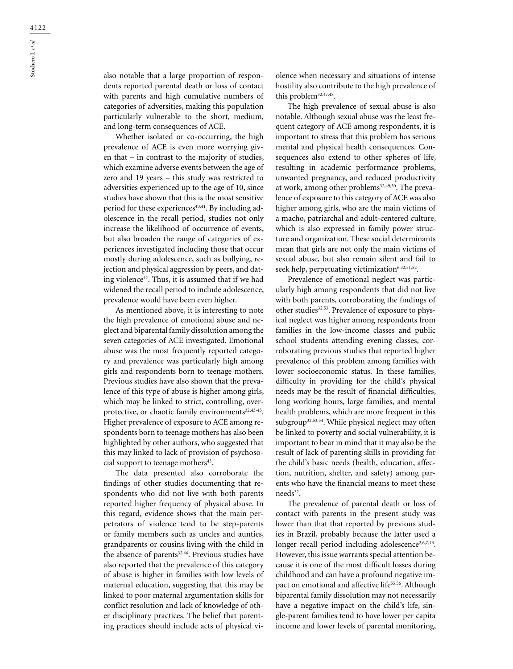also notable that a large proportion of respondents reported parental death or loss of contact with parents and high cumulative numbers of categories of adversities, making this population particularly vulnerable to the short, medium, and long-term consequences of ACE.

Whether isolated or co-occurring, the high prevalence of ACE is even more worrying given that – in contrast to the majority of studies, which examine adverse events between the age of zero and 19 years – this study was restricted to adversities experienced up to the age of 10, since studies have shown that this is the most sensitive period for these experiences<sup>40,41</sup>. By including adolescence in the recall period, studies not only increase the likelihood of occurrence of events, but also broaden the range of categories of experiences investigated including those that occur mostly during adolescence, such as bullying, rejection and physical aggression by peers, and dating violence<sup>42</sup>. Thus, it is assumed that if we had widened the recall period to include adolescence, prevalence would have been even higher.

As mentioned above, it is interesting to note the high prevalence of emotional abuse and neglect and biparental family dissolution among the seven categories of ACE investigated. Emotional abuse was the most frequently reported category and prevalence was particularly high among girls and respondents born to teenage mothers. Previous studies have also shown that the prevalence of this type of abuse is higher among girls, which may be linked to strict, controlling, overprotective, or chaotic family environments<sup>32,43-45</sup>. Higher prevalence of exposure to ACE among respondents born to teenage mothers has also been highlighted by other authors, who suggested that this may linked to lack of provision of psychosocial support to teenage mothers<sup>43</sup>.

The data presented also corroborate the findings of other studies documenting that respondents who did not live with both parents reported higher frequency of physical abuse. In this regard, evidence shows that the main perpetrators of violence tend to be step-parents or family members such as uncles and aunties, grandparents or cousins living with the child in the absence of parents<sup>32,46</sup>. Previous studies have also reported that the prevalence of this category of abuse is higher in families with low levels of maternal education, suggesting that this may be linked to poor maternal argumentation skills for conflict resolution and lack of knowledge of other disciplinary practices. The belief that parenting practices should include acts of physical violence when necessary and situations of intense hostility also contribute to the high prevalence of this problem32,47,48.

The high prevalence of sexual abuse is also notable. Although sexual abuse was the least frequent category of ACE among respondents, it is important to stress that this problem has serious mental and physical health consequences. Consequences also extend to other spheres of life, resulting in academic performance problems, unwanted pregnancy, and reduced productivity at work, among other problems<sup>32,49,50</sup>. The prevalence of exposure to this category of ACE was also higher among girls, who are the main victims of a macho, patriarchal and adult-centered culture, which is also expressed in family power structure and organization. These social determinants mean that girls are not only the main victims of sexual abuse, but also remain silent and fail to seek help, perpetuating victimization<sup>6,32,51,52</sup>.

Prevalence of emotional neglect was particularly high among respondents that did not live with both parents, corroborating the findings of other studies<sup>32,53</sup>. Prevalence of exposure to physical neglect was higher among respondents from families in the low-income classes and public school students attending evening classes, corroborating previous studies that reported higher prevalence of this problem among families with lower socioeconomic status. In these families, difficulty in providing for the child's physical needs may be the result of financial difficulties, long working hours, large families, and mental health problems, which are more frequent in this subgroup<sup>32,53,54</sup>. While physical neglect may often be linked to poverty and social vulnerability, it is important to bear in mind that it may also be the result of lack of parenting skills in providing for the child's basic needs (health, education, affection, nutrition, shelter, and safety) among parents who have the financial means to meet these needs<sup>32</sup>.

The prevalence of parental death or loss of contact with parents in the present study was lower than that that reported by previous studies in Brazil, probably because the latter used a longer recall period including adolescence<sup>2,6,7,13</sup>. However, this issue warrants special attention because it is one of the most difficult losses during childhood and can have a profound negative impact on emotional and affective life<sup>55,56</sup>. Although biparental family dissolution may not necessarily have a negative impact on the child's life, single-parent families tend to have lower per capita income and lower levels of parental monitoring,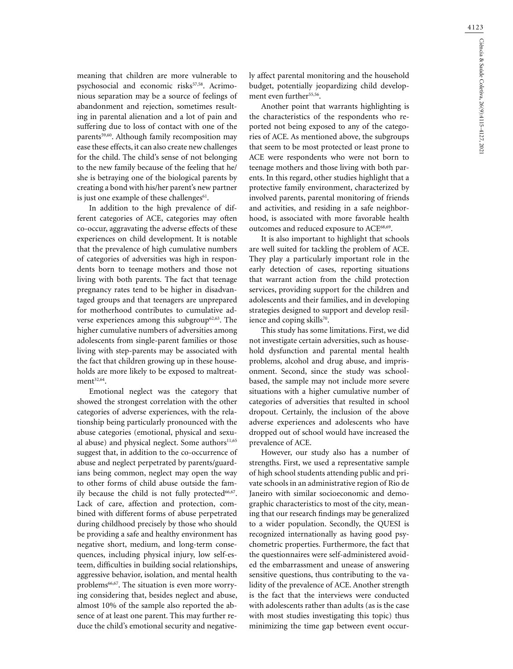meaning that children are more vulnerable to psychosocial and economic risks<sup>57,58</sup>. Acrimonious separation may be a source of feelings of abandonment and rejection, sometimes resulting in parental alienation and a lot of pain and suffering due to loss of contact with one of the parents<sup>59,60</sup>. Although family recomposition may ease these effects, it can also create new challenges for the child. The child's sense of not belonging to the new family because of the feeling that he/ she is betraying one of the biological parents by creating a bond with his/her parent's new partner is just one example of these challenges<sup>61</sup>.

In addition to the high prevalence of different categories of ACE, categories may often co-occur, aggravating the adverse effects of these experiences on child development. It is notable that the prevalence of high cumulative numbers of categories of adversities was high in respondents born to teenage mothers and those not living with both parents. The fact that teenage pregnancy rates tend to be higher in disadvantaged groups and that teenagers are unprepared for motherhood contributes to cumulative adverse experiences among this subgroup<sup>62,63</sup>. The higher cumulative numbers of adversities among adolescents from single-parent families or those living with step-parents may be associated with the fact that children growing up in these households are more likely to be exposed to maltreat $ment<sup>32,64</sup>$ .

Emotional neglect was the category that showed the strongest correlation with the other categories of adverse experiences, with the relationship being particularly pronounced with the abuse categories (emotional, physical and sexual abuse) and physical neglect. Some authors $11,65$ suggest that, in addition to the co-occurrence of abuse and neglect perpetrated by parents/guardians being common, neglect may open the way to other forms of child abuse outside the family because the child is not fully protected $66,67$ . Lack of care, affection and protection, combined with different forms of abuse perpetrated during childhood precisely by those who should be providing a safe and healthy environment has negative short, medium, and long-term consequences, including physical injury, low self-esteem, difficulties in building social relationships, aggressive behavior, isolation, and mental health problems<sup>66,67</sup>. The situation is even more worrying considering that, besides neglect and abuse, almost 10% of the sample also reported the absence of at least one parent. This may further reduce the child's emotional security and negatively affect parental monitoring and the household budget, potentially jeopardizing child development even further<sup>55,56</sup>.

Another point that warrants highlighting is the characteristics of the respondents who reported not being exposed to any of the categories of ACE. As mentioned above, the subgroups that seem to be most protected or least prone to ACE were respondents who were not born to teenage mothers and those living with both parents. In this regard, other studies highlight that a protective family environment, characterized by involved parents, parental monitoring of friends and activities, and residing in a safe neighborhood, is associated with more favorable health outcomes and reduced exposure to ACE<sup>68,69</sup>.

It is also important to highlight that schools are well suited for tackling the problem of ACE. They play a particularly important role in the early detection of cases, reporting situations that warrant action from the child protection services, providing support for the children and adolescents and their families, and in developing strategies designed to support and develop resilience and coping skills<sup>70</sup>.

This study has some limitations. First, we did not investigate certain adversities, such as household dysfunction and parental mental health problems, alcohol and drug abuse, and imprisonment. Second, since the study was schoolbased, the sample may not include more severe situations with a higher cumulative number of categories of adversities that resulted in school dropout. Certainly, the inclusion of the above adverse experiences and adolescents who have dropped out of school would have increased the prevalence of ACE.

However, our study also has a number of strengths. First, we used a representative sample of high school students attending public and private schools in an administrative region of Rio de Janeiro with similar socioeconomic and demographic characteristics to most of the city, meaning that our research findings may be generalized to a wider population. Secondly, the QUESI is recognized internationally as having good psychometric properties. Furthermore, the fact that the questionnaires were self-administered avoided the embarrassment and unease of answering sensitive questions, thus contributing to the validity of the prevalence of ACE. Another strength is the fact that the interviews were conducted with adolescents rather than adults (as is the case with most studies investigating this topic) thus minimizing the time gap between event occur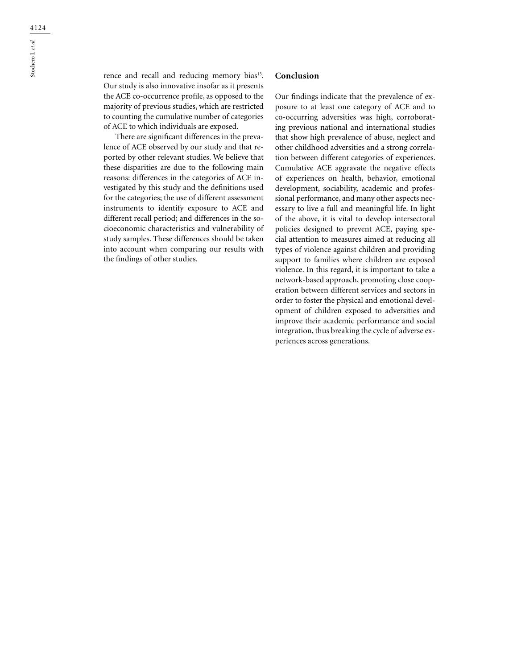rence and recall and reducing memory bias<sup>13</sup>. Our study is also innovative insofar as it presents the ACE co-occurrence profile, as opposed to the majority of previous studies, which are restricted to counting the cumulative number of categories of ACE to which individuals are exposed.

There are significant differences in the prevalence of ACE observed by our study and that reported by other relevant studies. We believe that these disparities are due to the following main reasons: differences in the categories of ACE investigated by this study and the definitions used for the categories; the use of different assessment instruments to identify exposure to ACE and different recall period; and differences in the socioeconomic characteristics and vulnerability of study samples. These differences should be taken into account when comparing our results with the findings of other studies.

# **Conclusion**

Our findings indicate that the prevalence of exposure to at least one category of ACE and to co-occurring adversities was high, corroborating previous national and international studies that show high prevalence of abuse, neglect and other childhood adversities and a strong correlation between different categories of experiences. Cumulative ACE aggravate the negative effects of experiences on health, behavior, emotional development, sociability, academic and professional performance, and many other aspects necessary to live a full and meaningful life. In light of the above, it is vital to develop intersectoral policies designed to prevent ACE, paying special attention to measures aimed at reducing all types of violence against children and providing support to families where children are exposed violence. In this regard, it is important to take a network-based approach, promoting close cooperation between different services and sectors in order to foster the physical and emotional development of children exposed to adversities and improve their academic performance and social integration, thus breaking the cycle of adverse experiences across generations.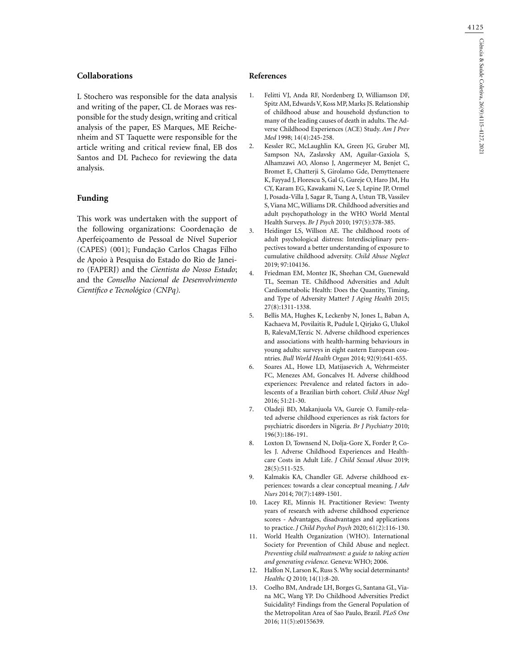# **Collaborations**

L Stochero was responsible for the data analysis and writing of the paper, CL de Moraes was responsible for the study design, writing and critical analysis of the paper, ES Marques, ME Reichenheim and ST Taquette were responsible for the article writing and critical review final, EB dos Santos and DL Pacheco for reviewing the data analysis.

# **Funding**

This work was undertaken with the support of the following organizations: Coordenação de Aperfeiçoamento de Pessoal de Nível Superior (CAPES) (001); Fundação Carlos Chagas Filho de Apoio à Pesquisa do Estado do Rio de Janeiro (FAPERJ) and the *Cientista do Nosso Estado*; and the *Conselho Nacional de Desenvolvimento Científico e Tecnológico (CNPq).*

### **References**

- 1. Felitti VJ, Anda RF, Nordenberg D, Williamson DF, Spitz AM, Edwards V, Koss MP, Marks JS. Relationship of childhood abuse and household dysfunction to many of the leading causes of death in adults. The Adverse Childhood Experiences (ACE) Study. *Am J Prev Med* 1998; 14(4):245-258.
- 2. Kessler RC, McLaughlin KA, Green JG, Gruber MJ, Sampson NA, Zaslavsky AM, Aguilar-Gaxiola S, Alhamzawi AO, Alonso J, Angermeyer M, Benjet C, Bromet E, Chatterji S, Girolamo Gde, Demyttenaere K, Fayyad J, Florescu S, Gal G, Gureje O, Haro JM, Hu CY, Karam EG, Kawakami N, Lee S, Lepine JP, Ormel J, Posada-Villa J, Sagar R, Tsang A, Ustun TB, Vassilev S, Viana MC, Williams DR. Childhood adversities and adult psychopathology in the WHO World Mental Health Surveys. *Br J Psych* 2010; 197(5):378-385.
- 3. Heidinger LS, Willson AE. The childhood roots of adult psychological distress: Interdisciplinary perspectives toward a better understanding of exposure to cumulative childhood adversity. *Child Abuse Neglect* 2019; 97:104136.
- 4. Friedman EM, Montez JK, Sheehan CM, Guenewald TL, Seeman TE. Childhood Adversities and Adult Cardiometabolic Health: Does the Quantity, Timing, and Type of Adversity Matter? *J Aging Health* 2015; 27(8):1311-1338.
- 5. Bellis MA, Hughes K, Leckenby N, Jones L, Baban A, Kachaeva M, Povilaitis R, Pudule I, Qirjako G, Ulukol B, RalevaM,Terzic N. Adverse childhood experiences and associations with health-harming behaviours in young adults: surveys in eight eastern European countries. *Bull World Health Organ* 2014; 92(9):641-655.
- 6. Soares AL, Howe LD, Matijasevich A, Wehrmeister FC, Menezes AM, Goncalves H. Adverse childhood experiences: Prevalence and related factors in adolescents of a Brazilian birth cohort. *Child Abuse Negl* 2016; 51:21-30.
- 7. Oladeji BD, Makanjuola VA, Gureje O. Family-related adverse childhood experiences as risk factors for psychiatric disorders in Nigeria. *Br J Psychiatry* 2010; 196(3):186-191.
- Loxton D, Townsend N, Dolja-Gore X, Forder P, Coles J. Adverse Childhood Experiences and Healthcare Costs in Adult Life. *J Child Sexual Abuse* 2019; 28(5):511-525.
- Kalmakis KA, Chandler GE. Adverse childhood experiences: towards a clear conceptual meaning. *J Adv Nurs* 2014; 70(7):1489-1501.
- 10. Lacey RE, Minnis H. Practitioner Review: Twenty years of research with adverse childhood experience scores - Advantages, disadvantages and applications to practice. *J Child Psychol Psych* 2020; 61(2):116-130.
- 11. World Health Organization (WHO). International Society for Prevention of Child Abuse and neglect. *Preventing child maltreatment: a guide to taking action and generating evidence.* Geneva: WHO; 2006.
- 12. Halfon N, Larson K, Russ S. Why social determinants? *Healthc Q* 2010; 14(1):8-20.
- 13. Coelho BM, Andrade LH, Borges G, Santana GL, Viana MC, Wang YP. Do Childhood Adversities Predict Suicidality? Findings from the General Population of the Metropolitan Area of Sao Paulo, Brazil. *PLoS One* 2016; 11(5):e0155639.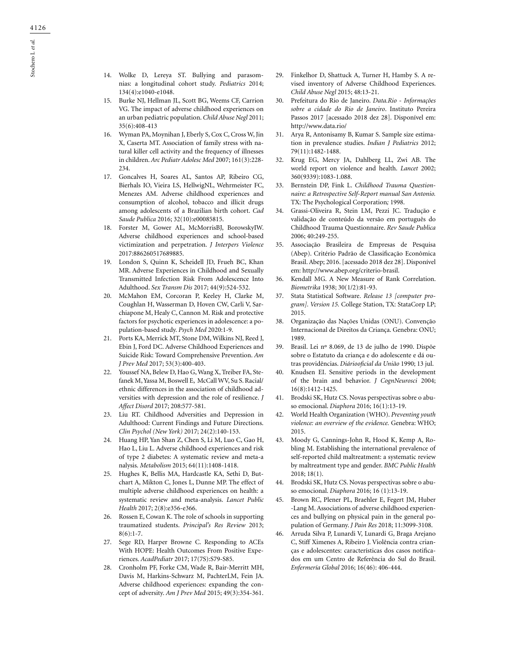- 14. Wolke D, Lereya ST. Bullying and parasomnias: a longitudinal cohort study. *Pediatrics* 2014; 134(4):e1040-e1048.
- 15. Burke NJ, Hellman JL, Scott BG, Weems CF, Carrion VG. The impact of adverse childhood experiences on an urban pediatric population. *Child Abuse Negl* 2011; 35(6):408-413
- 16. Wyman PA, Moynihan J, Eberly S, Cox C, Cross W, Jin X, Caserta MT. Association of family stress with natural killer cell activity and the frequency of illnesses in children. *Arc Pediatr Adolesc Med* 2007; 161(3):228- 234.
- 17. Goncalves H, Soares AL, Santos AP, Ribeiro CG, Bierhals IO, Vieira LS, HellwigNL, Wehrmeister FC, Menezes AM. Adverse childhood experiences and consumption of alcohol, tobacco and illicit drugs among adolescents of a Brazilian birth cohort. *Cad Saude Publica* 2016; 32(10):e00085815.
- 18. Forster M, Gower AL, McMorrisBJ, BorowskyIW. Adverse childhood experiences and school-based victimization and perpetration. *J Interpers Violence* 2017:886260517689885.
- 19. London S, Quinn K, Scheidell JD, Frueh BC, Khan MR. Adverse Experiences in Childhood and Sexually Transmitted Infection Risk From Adolescence Into Adulthood. *Sex Transm Dis* 2017; 44(9):524-532.
- 20. McMahon EM, Corcoran P, Keeley H, Clarke M, Coughlan H, Wasserman D, Hoven CW, Carli V, Sarchiapone M, Healy C, Cannon M. Risk and protective factors for psychotic experiences in adolescence: a population-based study. *Psych Med* 2020:1-9.
- 21. Ports KA, Merrick MT, Stone DM, Wilkins NJ, Reed J, Ebin J, Ford DC. Adverse Childhood Experiences and Suicide Risk: Toward Comprehensive Prevention. *Am J Prev Med* 2017; 53(3):400-403.
- 22. Youssef NA, Belew D, Hao G, Wang X, Treiber FA, Stefanek M, Yassa M, Boswell E, McCall WV, Su S. Racial/ ethnic differences in the association of childhood adversities with depression and the role of resilience. *J Affect Disord* 2017; 208:577-581.
- 23. Liu RT. Childhood Adversities and Depression in Adulthood: Current Findings and Future Directions. *Clin Psychol (New York)* 2017; 24(2):140-153.
- 24. Huang HP, Yan Shan Z, Chen S, Li M, Luo C, Gao H, Hao L, Liu L. Adverse childhood experiences and risk of type 2 diabetes: A systematic review and meta-a nalysis. *Metabolism* 2015; 64(11):1408-1418.
- 25. Hughes K, Bellis MA, Hardcastle KA, Sethi D, Butchart A, Mikton C, Jones L, Dunne MP. The effect of multiple adverse childhood experiences on health: a systematic review and meta-analysis. *Lancet Public Health* 2017; 2(8):e356-e366.
- 26. Rossen E, Cowan K. The role of schools in supporting traumatized students. *Principal's Res Review* 2013;  $8(6):1-7.$
- 27. Sege RD, Harper Browne C. Responding to ACEs With HOPE: Health Outcomes From Positive Experiences. *AcadPediatr* 2017; 17(7S):S79-S85.
- 28. Cronholm PF, Forke CM, Wade R, Bair-Merritt MH, Davis M, Harkins-Schwarz M, PachterLM, Fein JA. Adverse childhood experiences: expanding the concept of adversity. *Am J Prev Med* 2015; 49(3):354-361.
- 29. Finkelhor D, Shattuck A, Turner H, Hamby S. A revised inventory of Adverse Childhood Experiences. *Child Abuse Negl* 2015; 48:13-21.
- 30. Prefeitura do Rio de Janeiro. *Data.Rio Informações sobre a cidade do Rio de Janeiro*. Instituto Pereira Passos 2017 [acessado 2018 dez 28]. Disponível em: http://www.data.rio/
- 31. Arya R, Antonisamy B, Kumar S. Sample size estimation in prevalence studies. *Indian J Pediatrics* 2012; 79(11):1482-1488.
- 32. Krug EG, Mercy JA, Dahlberg LL, Zwi AB. The world report on violence and health. *Lancet* 2002; 360(9339):1083-1.088.
- 33. Bernstein DP, Fink L. *Childhood Trauma Questionnaire: a Retrospective Self-Report manual San Antonio.* TX: The Psychological Corporation*;* 1998.
- 34. Grassi-Oliveira R, Stein LM, Pezzi JC. Tradução e validação de conteúdo da versão em português do Childhood Trauma Questionnaire. *Rev Saude Publica* 2006; 40:249-255.
- 35. Associação Brasileira de Empresas de Pesquisa (Abep). Critério Padrão de Classificação Econômica Brasil. Abep; 2016. [acessado 2018 dez 28]. Disponível em: http://www.abep.org/criterio-brasil.
- 36. Kendall MG. A New Measure of Rank Correlation. *Biometrika* 1938; 30(1/2):81-93.
- 37. Stata Statistical Software. *Release 13 [computer program]. Version 15.* College Station, TX: StataCorp LP; 2015.
- 38. Organização das Nações Unidas (ONU). Convenção Internacional de Direitos da Criança. Genebra: ONU; 1989.
- 39. Brasil. Lei nº 8.069, de 13 de julho de 1990. Dispõe sobre o Estatuto da criança e do adolescente e dá outras providências. *Diáriooficial da União* 1990; 13 jul.
- 40. Knudsen EI. Sensitive periods in the development of the brain and behavior. *J CognNeurosci* 2004; 16(8):1412-1425.
- 41. Brodski SK, Hutz CS. Novas perspectivas sobre o abuso emocional. *Diaphora* 2016; 16(1):13-19.
- 42. World Health Organization (WHO). *Preventing youth violence: an overview of the evidence.* Genebra: WHO; 2015.
- 43. Moody G, Cannings-John R, Hood K, Kemp A, Robling M. Establishing the international prevalence of self-reported child maltreatment: a systematic review by maltreatment type and gender. *BMC Public Health* 2018; 18(1).
- 44. Brodski SK, Hutz CS. Novas perspectivas sobre o abuso emocional. *Diaphora* 2016; 16 (1):13-19.
- 45. Brown RC, Plener PL, Braehler E, Fegert JM, Huber -Lang M. Associations of adverse childhood experiences and bullying on physical pain in the general population of Germany. *J Pain Res* 2018; 11:3099-3108.
- 46. Arruda Silva P, Lunardi V, Lunardi G, Braga Arejano C, Stiff Ximenes A, Ribeiro J. Violência contra crianças e adolescentes: características dos casos notificados em um Centro de Referência do Sul do Brasil. *Enfermería Global* 2016; 16(46): 406-444.